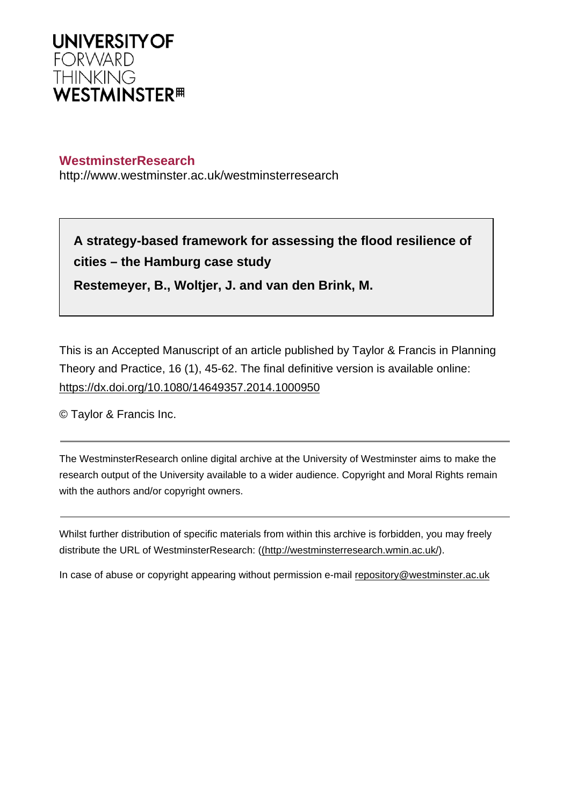

# **WestminsterResearch**

http://www.westminster.ac.uk/westminsterresearch

**A strategy-based framework for assessing the flood resilience of cities – the Hamburg case study**

**Restemeyer, B., Woltjer, J. and van den Brink, M.**

This is an Accepted Manuscript of an article published by Taylor & Francis in Planning Theory and Practice, 16 (1), 45-62. The final definitive version is available online: <https://dx.doi.org/10.1080/14649357.2014.1000950>

© Taylor & Francis Inc.

The WestminsterResearch online digital archive at the University of Westminster aims to make the research output of the University available to a wider audience. Copyright and Moral Rights remain with the authors and/or copyright owners.

Whilst further distribution of specific materials from within this archive is forbidden, you may freely distribute the URL of WestminsterResearch: [\(\(http://westminsterresearch.wmin.ac.uk/](http://westminsterresearch.wmin.ac.uk/)).

In case of abuse or copyright appearing without permission e-mail <repository@westminster.ac.uk>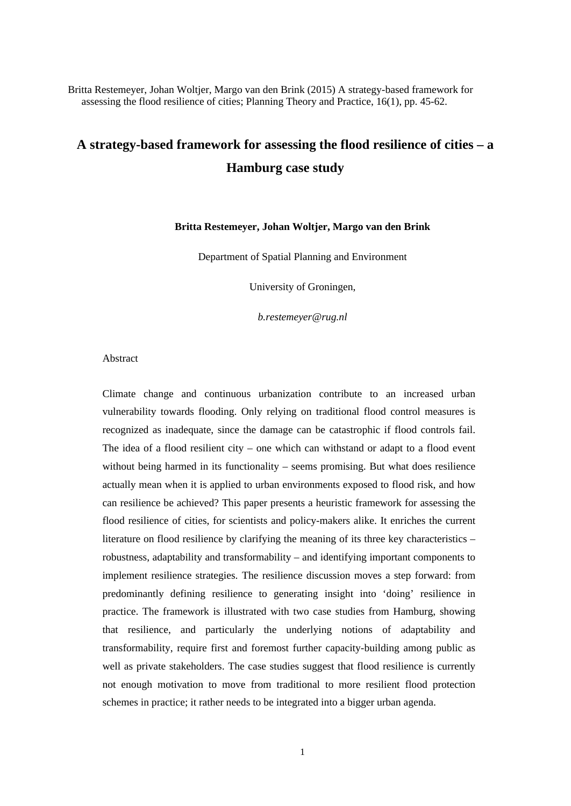Britta Restemeyer, Johan Woltjer, Margo van den Brink (2015) A strategy-based framework for assessing the flood resilience of cities; Planning Theory and Practice, 16(1), pp. 45-62.

# **A strategy-based framework for assessing the flood resilience of cities – a Hamburg case study**

#### **Britta Restemeyer, Johan Woltjer, Margo van den Brink**

Department of Spatial Planning and Environment

University of Groningen,

*b.restemeyer@rug.nl*

#### Abstract

Climate change and continuous urbanization contribute to an increased urban vulnerability towards flooding. Only relying on traditional flood control measures is recognized as inadequate, since the damage can be catastrophic if flood controls fail. The idea of a flood resilient city – one which can withstand or adapt to a flood event without being harmed in its functionality – seems promising. But what does resilience actually mean when it is applied to urban environments exposed to flood risk, and how can resilience be achieved? This paper presents a heuristic framework for assessing the flood resilience of cities, for scientists and policy-makers alike. It enriches the current literature on flood resilience by clarifying the meaning of its three key characteristics – robustness, adaptability and transformability – and identifying important components to implement resilience strategies. The resilience discussion moves a step forward: from predominantly defining resilience to generating insight into 'doing' resilience in practice. The framework is illustrated with two case studies from Hamburg, showing that resilience, and particularly the underlying notions of adaptability and transformability, require first and foremost further capacity-building among public as well as private stakeholders. The case studies suggest that flood resilience is currently not enough motivation to move from traditional to more resilient flood protection schemes in practice; it rather needs to be integrated into a bigger urban agenda.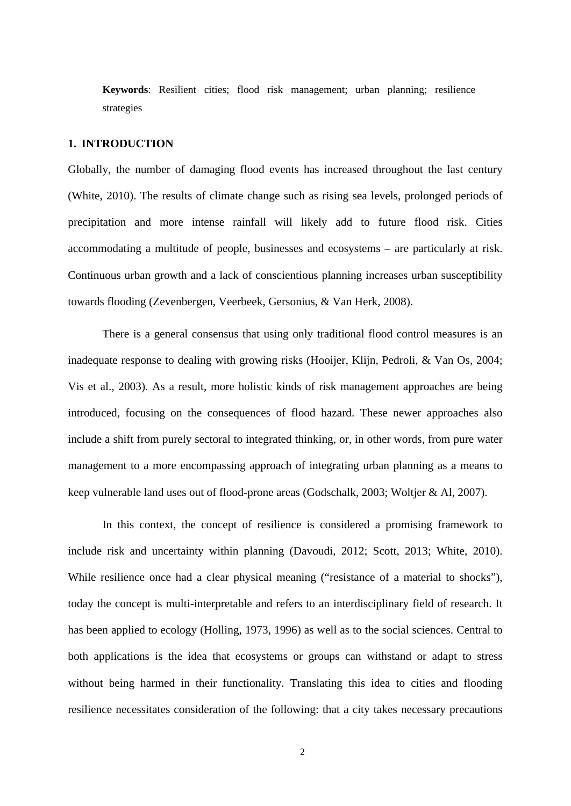**Keywords**: Resilient cities; flood risk management; urban planning; resilience strategies

# **1. INTRODUCTION**

Globally, the number of damaging flood events has increased throughout the last century (White, 2010). The results of climate change such as rising sea levels, prolonged periods of precipitation and more intense rainfall will likely add to future flood risk. Cities accommodating a multitude of people, businesses and ecosystems – are particularly at risk. Continuous urban growth and a lack of conscientious planning increases urban susceptibility towards flooding (Zevenbergen, Veerbeek, Gersonius, & Van Herk, 2008).

There is a general consensus that using only traditional flood control measures is an inadequate response to dealing with growing risks (Hooijer, Klijn, Pedroli, & Van Os, 2004; Vis et al., 2003). As a result, more holistic kinds of risk management approaches are being introduced, focusing on the consequences of flood hazard. These newer approaches also include a shift from purely sectoral to integrated thinking, or, in other words, from pure water management to a more encompassing approach of integrating urban planning as a means to keep vulnerable land uses out of flood-prone areas (Godschalk, 2003; Woltjer & Al, 2007).

In this context, the concept of resilience is considered a promising framework to include risk and uncertainty within planning (Davoudi, 2012; Scott, 2013; White, 2010). While resilience once had a clear physical meaning ("resistance of a material to shocks"), today the concept is multi-interpretable and refers to an interdisciplinary field of research. It has been applied to ecology (Holling, 1973, 1996) as well as to the social sciences. Central to both applications is the idea that ecosystems or groups can withstand or adapt to stress without being harmed in their functionality. Translating this idea to cities and flooding resilience necessitates consideration of the following: that a city takes necessary precautions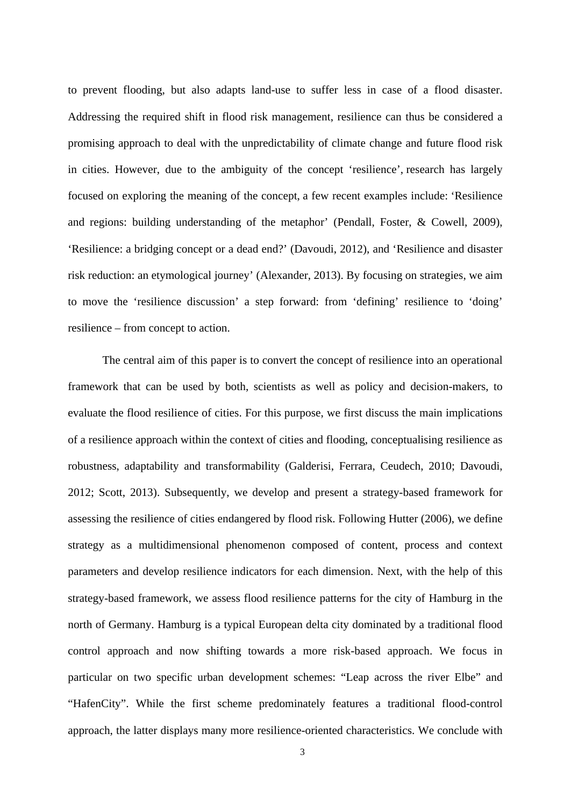to prevent flooding, but also adapts land-use to suffer less in case of a flood disaster. Addressing the required shift in flood risk management, resilience can thus be considered a promising approach to deal with the unpredictability of climate change and future flood risk in cities. However, due to the ambiguity of the concept 'resilience', research has largely focused on exploring the meaning of the concept, a few recent examples include: 'Resilience and regions: building understanding of the metaphor' (Pendall, Foster, & Cowell, 2009), 'Resilience: a bridging concept or a dead end?' (Davoudi, 2012), and 'Resilience and disaster risk reduction: an etymological journey' (Alexander, 2013). By focusing on strategies, we aim to move the 'resilience discussion' a step forward: from 'defining' resilience to 'doing' resilience – from concept to action.

The central aim of this paper is to convert the concept of resilience into an operational framework that can be used by both, scientists as well as policy and decision-makers, to evaluate the flood resilience of cities. For this purpose, we first discuss the main implications of a resilience approach within the context of cities and flooding, conceptualising resilience as robustness, adaptability and transformability (Galderisi, Ferrara, Ceudech, 2010; Davoudi, 2012; Scott, 2013). Subsequently, we develop and present a strategy-based framework for assessing the resilience of cities endangered by flood risk. Following Hutter (2006), we define strategy as a multidimensional phenomenon composed of content, process and context parameters and develop resilience indicators for each dimension. Next, with the help of this strategy-based framework, we assess flood resilience patterns for the city of Hamburg in the north of Germany. Hamburg is a typical European delta city dominated by a traditional flood control approach and now shifting towards a more risk-based approach. We focus in particular on two specific urban development schemes: "Leap across the river Elbe" and "HafenCity". While the first scheme predominately features a traditional flood-control approach, the latter displays many more resilience-oriented characteristics. We conclude with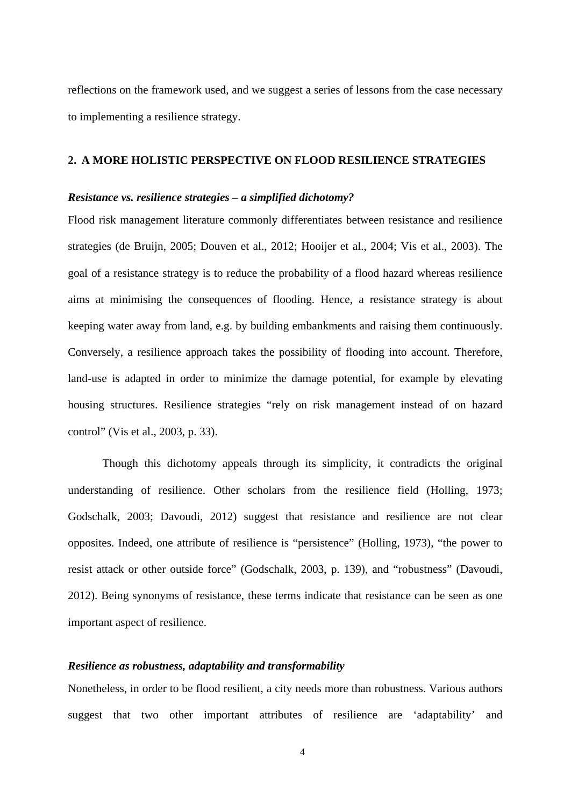reflections on the framework used, and we suggest a series of lessons from the case necessary to implementing a resilience strategy.

#### **2. A MORE HOLISTIC PERSPECTIVE ON FLOOD RESILIENCE STRATEGIES**

#### *Resistance vs. resilience strategies – a simplified dichotomy?*

Flood risk management literature commonly differentiates between resistance and resilience strategies (de Bruijn, 2005; Douven et al., 2012; Hooijer et al., 2004; Vis et al., 2003). The goal of a resistance strategy is to reduce the probability of a flood hazard whereas resilience aims at minimising the consequences of flooding. Hence, a resistance strategy is about keeping water away from land, e.g. by building embankments and raising them continuously. Conversely, a resilience approach takes the possibility of flooding into account. Therefore, land-use is adapted in order to minimize the damage potential, for example by elevating housing structures. Resilience strategies "rely on risk management instead of on hazard control" (Vis et al., 2003, p. 33).

Though this dichotomy appeals through its simplicity, it contradicts the original understanding of resilience. Other scholars from the resilience field (Holling, 1973; Godschalk, 2003; Davoudi, 2012) suggest that resistance and resilience are not clear opposites. Indeed, one attribute of resilience is "persistence" (Holling, 1973), "the power to resist attack or other outside force" (Godschalk, 2003, p. 139), and "robustness" (Davoudi, 2012). Being synonyms of resistance, these terms indicate that resistance can be seen as one important aspect of resilience.

## *Resilience as robustness, adaptability and transformability*

Nonetheless, in order to be flood resilient, a city needs more than robustness. Various authors suggest that two other important attributes of resilience are 'adaptability' and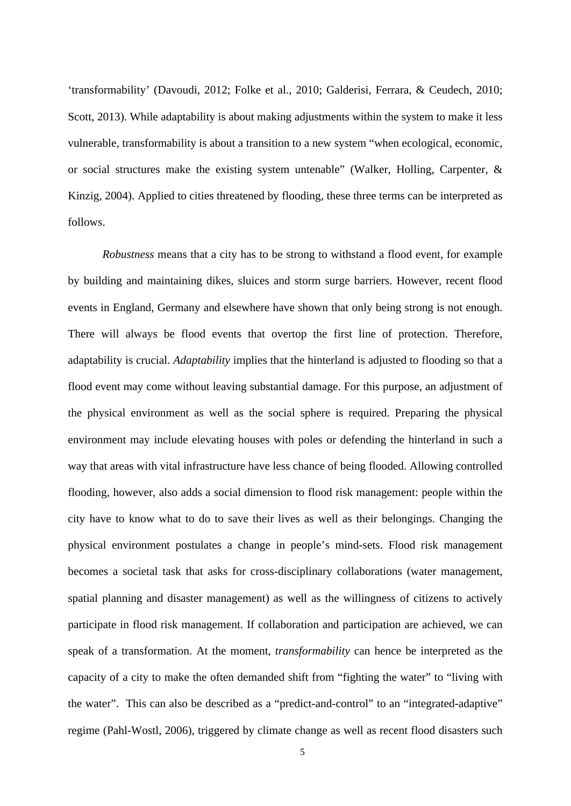'transformability' (Davoudi, 2012; Folke et al., 2010; Galderisi, Ferrara, & Ceudech, 2010; Scott, 2013). While adaptability is about making adjustments within the system to make it less vulnerable, transformability is about a transition to a new system "when ecological, economic, or social structures make the existing system untenable" (Walker, Holling, Carpenter, & Kinzig, 2004). Applied to cities threatened by flooding, these three terms can be interpreted as follows.

*Robustness* means that a city has to be strong to withstand a flood event, for example by building and maintaining dikes, sluices and storm surge barriers. However, recent flood events in England, Germany and elsewhere have shown that only being strong is not enough. There will always be flood events that overtop the first line of protection. Therefore, adaptability is crucial. *Adaptability* implies that the hinterland is adjusted to flooding so that a flood event may come without leaving substantial damage. For this purpose, an adjustment of the physical environment as well as the social sphere is required. Preparing the physical environment may include elevating houses with poles or defending the hinterland in such a way that areas with vital infrastructure have less chance of being flooded. Allowing controlled flooding, however, also adds a social dimension to flood risk management: people within the city have to know what to do to save their lives as well as their belongings. Changing the physical environment postulates a change in people's mind-sets. Flood risk management becomes a societal task that asks for cross-disciplinary collaborations (water management, spatial planning and disaster management) as well as the willingness of citizens to actively participate in flood risk management. If collaboration and participation are achieved, we can speak of a transformation. At the moment, *transformability* can hence be interpreted as the capacity of a city to make the often demanded shift from "fighting the water" to "living with the water". This can also be described as a "predict-and-control" to an "integrated-adaptive" regime (Pahl-Wostl, 2006), triggered by climate change as well as recent flood disasters such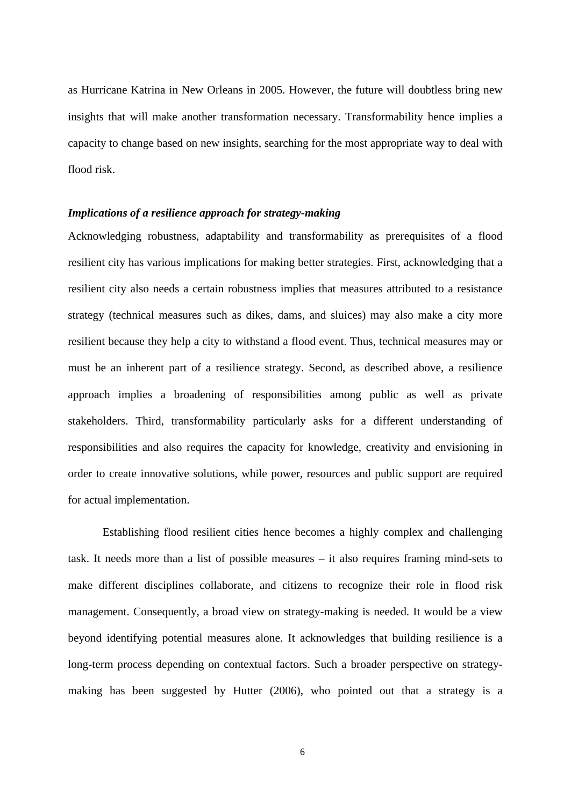as Hurricane Katrina in New Orleans in 2005. However, the future will doubtless bring new insights that will make another transformation necessary. Transformability hence implies a capacity to change based on new insights, searching for the most appropriate way to deal with flood risk.

#### *Implications of a resilience approach for strategy-making*

Acknowledging robustness, adaptability and transformability as prerequisites of a flood resilient city has various implications for making better strategies. First, acknowledging that a resilient city also needs a certain robustness implies that measures attributed to a resistance strategy (technical measures such as dikes, dams, and sluices) may also make a city more resilient because they help a city to withstand a flood event. Thus, technical measures may or must be an inherent part of a resilience strategy. Second, as described above, a resilience approach implies a broadening of responsibilities among public as well as private stakeholders. Third, transformability particularly asks for a different understanding of responsibilities and also requires the capacity for knowledge, creativity and envisioning in order to create innovative solutions, while power, resources and public support are required for actual implementation.

Establishing flood resilient cities hence becomes a highly complex and challenging task. It needs more than a list of possible measures – it also requires framing mind-sets to make different disciplines collaborate, and citizens to recognize their role in flood risk management. Consequently, a broad view on strategy-making is needed. It would be a view beyond identifying potential measures alone. It acknowledges that building resilience is a long-term process depending on contextual factors. Such a broader perspective on strategymaking has been suggested by Hutter (2006), who pointed out that a strategy is a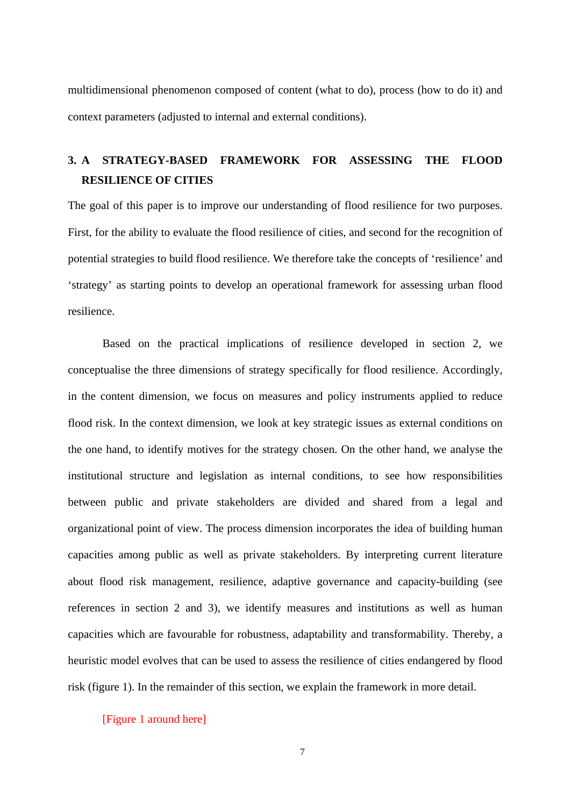multidimensional phenomenon composed of content (what to do), process (how to do it) and context parameters (adjusted to internal and external conditions).

# **3. A STRATEGY-BASED FRAMEWORK FOR ASSESSING THE FLOOD RESILIENCE OF CITIES**

The goal of this paper is to improve our understanding of flood resilience for two purposes. First, for the ability to evaluate the flood resilience of cities, and second for the recognition of potential strategies to build flood resilience. We therefore take the concepts of 'resilience' and 'strategy' as starting points to develop an operational framework for assessing urban flood resilience.

Based on the practical implications of resilience developed in section 2, we conceptualise the three dimensions of strategy specifically for flood resilience. Accordingly, in the content dimension, we focus on measures and policy instruments applied to reduce flood risk. In the context dimension, we look at key strategic issues as external conditions on the one hand, to identify motives for the strategy chosen. On the other hand, we analyse the institutional structure and legislation as internal conditions, to see how responsibilities between public and private stakeholders are divided and shared from a legal and organizational point of view. The process dimension incorporates the idea of building human capacities among public as well as private stakeholders. By interpreting current literature about flood risk management, resilience, adaptive governance and capacity-building (see references in section 2 and 3), we identify measures and institutions as well as human capacities which are favourable for robustness, adaptability and transformability. Thereby, a heuristic model evolves that can be used to assess the resilience of cities endangered by flood risk (figure 1). In the remainder of this section, we explain the framework in more detail.

[Figure 1 around here]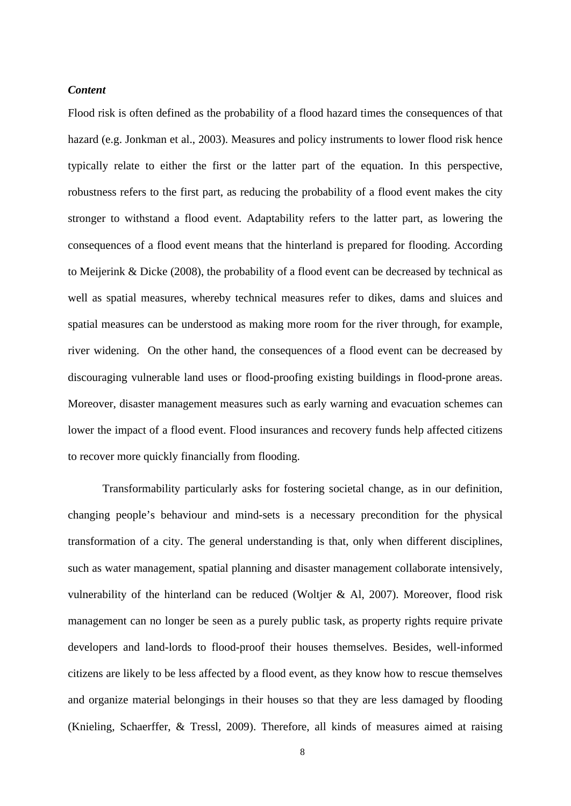# *Content*

Flood risk is often defined as the probability of a flood hazard times the consequences of that hazard (e.g. Jonkman et al., 2003). Measures and policy instruments to lower flood risk hence typically relate to either the first or the latter part of the equation. In this perspective, robustness refers to the first part, as reducing the probability of a flood event makes the city stronger to withstand a flood event. Adaptability refers to the latter part, as lowering the consequences of a flood event means that the hinterland is prepared for flooding. According to Meijerink & Dicke (2008), the probability of a flood event can be decreased by technical as well as spatial measures, whereby technical measures refer to dikes, dams and sluices and spatial measures can be understood as making more room for the river through, for example, river widening. On the other hand, the consequences of a flood event can be decreased by discouraging vulnerable land uses or flood-proofing existing buildings in flood-prone areas. Moreover, disaster management measures such as early warning and evacuation schemes can lower the impact of a flood event. Flood insurances and recovery funds help affected citizens to recover more quickly financially from flooding.

Transformability particularly asks for fostering societal change, as in our definition, changing people's behaviour and mind-sets is a necessary precondition for the physical transformation of a city. The general understanding is that, only when different disciplines, such as water management, spatial planning and disaster management collaborate intensively, vulnerability of the hinterland can be reduced (Woltjer & Al, 2007). Moreover, flood risk management can no longer be seen as a purely public task, as property rights require private developers and land-lords to flood-proof their houses themselves. Besides, well-informed citizens are likely to be less affected by a flood event, as they know how to rescue themselves and organize material belongings in their houses so that they are less damaged by flooding (Knieling, Schaerffer, & Tressl, 2009). Therefore, all kinds of measures aimed at raising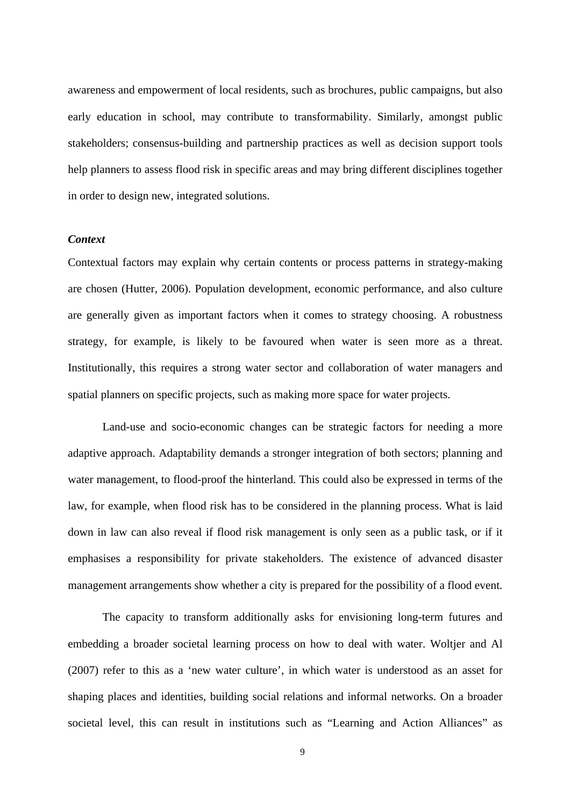awareness and empowerment of local residents, such as brochures, public campaigns, but also early education in school, may contribute to transformability. Similarly, amongst public stakeholders; consensus-building and partnership practices as well as decision support tools help planners to assess flood risk in specific areas and may bring different disciplines together in order to design new, integrated solutions.

#### *Context*

Contextual factors may explain why certain contents or process patterns in strategy-making are chosen (Hutter, 2006). Population development, economic performance, and also culture are generally given as important factors when it comes to strategy choosing. A robustness strategy, for example, is likely to be favoured when water is seen more as a threat. Institutionally, this requires a strong water sector and collaboration of water managers and spatial planners on specific projects, such as making more space for water projects.

Land-use and socio-economic changes can be strategic factors for needing a more adaptive approach. Adaptability demands a stronger integration of both sectors; planning and water management, to flood-proof the hinterland. This could also be expressed in terms of the law, for example, when flood risk has to be considered in the planning process. What is laid down in law can also reveal if flood risk management is only seen as a public task, or if it emphasises a responsibility for private stakeholders. The existence of advanced disaster management arrangements show whether a city is prepared for the possibility of a flood event.

The capacity to transform additionally asks for envisioning long-term futures and embedding a broader societal learning process on how to deal with water. Woltjer and Al (2007) refer to this as a 'new water culture', in which water is understood as an asset for shaping places and identities, building social relations and informal networks. On a broader societal level, this can result in institutions such as "Learning and Action Alliances" as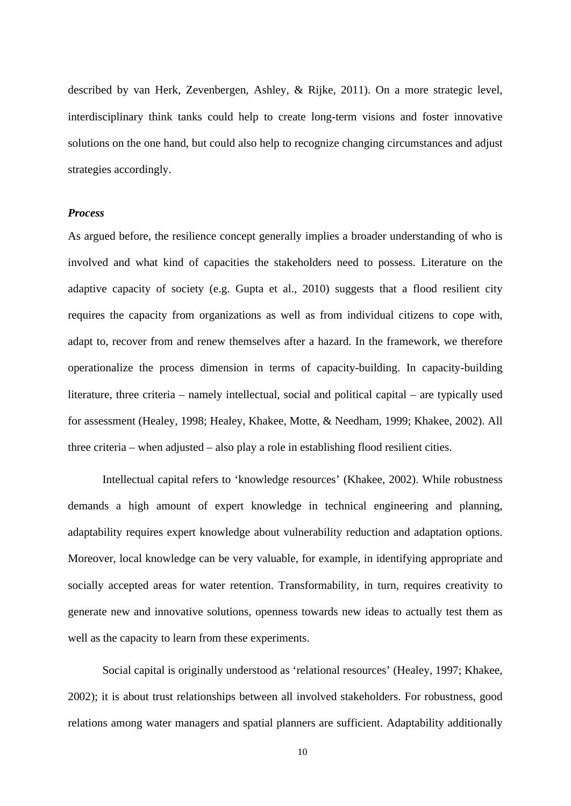described by van Herk, Zevenbergen, Ashley, & Rijke, 2011). On a more strategic level, interdisciplinary think tanks could help to create long-term visions and foster innovative solutions on the one hand, but could also help to recognize changing circumstances and adjust strategies accordingly.

#### *Process*

As argued before, the resilience concept generally implies a broader understanding of who is involved and what kind of capacities the stakeholders need to possess. Literature on the adaptive capacity of society (e.g. Gupta et al., 2010) suggests that a flood resilient city requires the capacity from organizations as well as from individual citizens to cope with, adapt to, recover from and renew themselves after a hazard. In the framework, we therefore operationalize the process dimension in terms of capacity-building. In capacity-building literature, three criteria – namely intellectual, social and political capital – are typically used for assessment (Healey, 1998; Healey, Khakee, Motte, & Needham, 1999; Khakee, 2002). All three criteria – when adjusted – also play a role in establishing flood resilient cities.

Intellectual capital refers to 'knowledge resources' (Khakee, 2002). While robustness demands a high amount of expert knowledge in technical engineering and planning, adaptability requires expert knowledge about vulnerability reduction and adaptation options. Moreover, local knowledge can be very valuable, for example, in identifying appropriate and socially accepted areas for water retention. Transformability, in turn, requires creativity to generate new and innovative solutions, openness towards new ideas to actually test them as well as the capacity to learn from these experiments.

Social capital is originally understood as 'relational resources' (Healey, 1997; Khakee, 2002); it is about trust relationships between all involved stakeholders. For robustness, good relations among water managers and spatial planners are sufficient. Adaptability additionally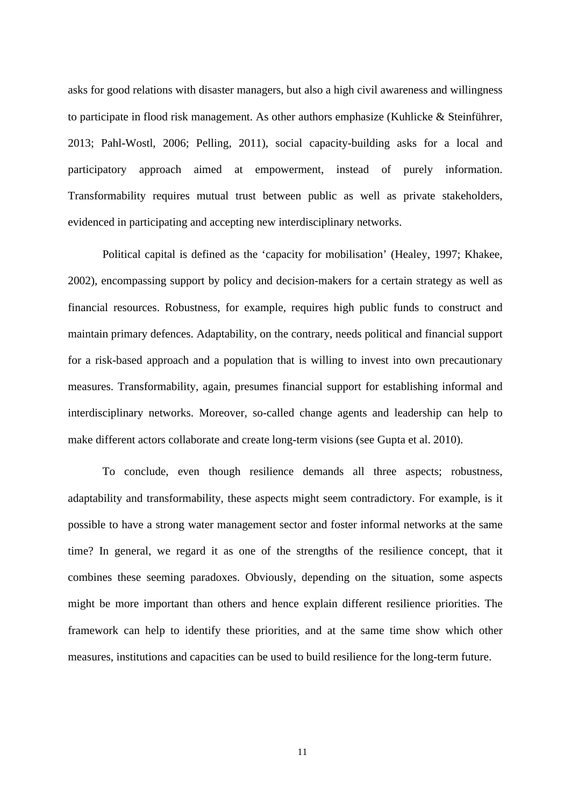asks for good relations with disaster managers, but also a high civil awareness and willingness to participate in flood risk management. As other authors emphasize (Kuhlicke & Steinführer, 2013; Pahl-Wostl, 2006; Pelling, 2011), social capacity-building asks for a local and participatory approach aimed at empowerment, instead of purely information. Transformability requires mutual trust between public as well as private stakeholders, evidenced in participating and accepting new interdisciplinary networks.

Political capital is defined as the 'capacity for mobilisation' (Healey, 1997; Khakee, 2002), encompassing support by policy and decision-makers for a certain strategy as well as financial resources. Robustness, for example, requires high public funds to construct and maintain primary defences. Adaptability, on the contrary, needs political and financial support for a risk-based approach and a population that is willing to invest into own precautionary measures. Transformability, again, presumes financial support for establishing informal and interdisciplinary networks. Moreover, so-called change agents and leadership can help to make different actors collaborate and create long-term visions (see Gupta et al. 2010).

To conclude, even though resilience demands all three aspects; robustness, adaptability and transformability, these aspects might seem contradictory. For example, is it possible to have a strong water management sector and foster informal networks at the same time? In general, we regard it as one of the strengths of the resilience concept, that it combines these seeming paradoxes. Obviously, depending on the situation, some aspects might be more important than others and hence explain different resilience priorities. The framework can help to identify these priorities, and at the same time show which other measures, institutions and capacities can be used to build resilience for the long-term future.

11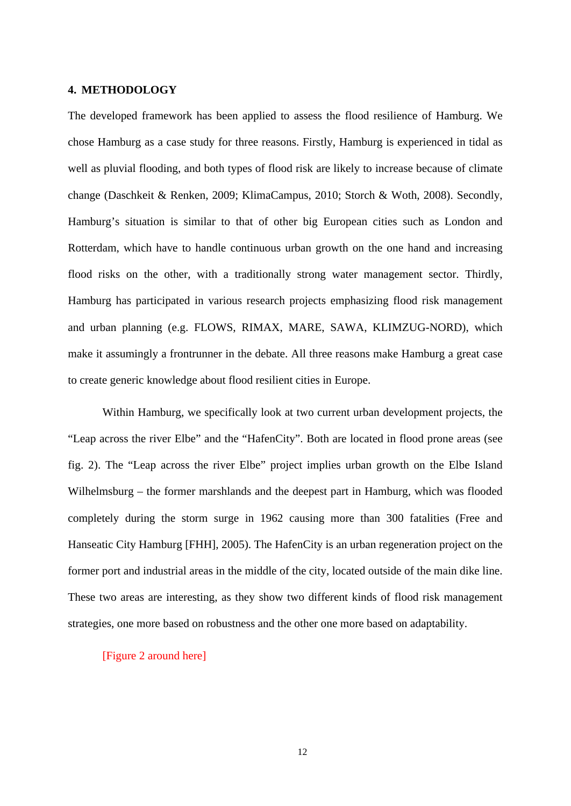# **4. METHODOLOGY**

The developed framework has been applied to assess the flood resilience of Hamburg. We chose Hamburg as a case study for three reasons. Firstly, Hamburg is experienced in tidal as well as pluvial flooding, and both types of flood risk are likely to increase because of climate change (Daschkeit & Renken, 2009; KlimaCampus, 2010; Storch & Woth, 2008). Secondly, Hamburg's situation is similar to that of other big European cities such as London and Rotterdam, which have to handle continuous urban growth on the one hand and increasing flood risks on the other, with a traditionally strong water management sector. Thirdly, Hamburg has participated in various research projects emphasizing flood risk management and urban planning (e.g. FLOWS, RIMAX, MARE, SAWA, KLIMZUG-NORD), which make it assumingly a frontrunner in the debate. All three reasons make Hamburg a great case to create generic knowledge about flood resilient cities in Europe.

Within Hamburg, we specifically look at two current urban development projects, the "Leap across the river Elbe" and the "HafenCity". Both are located in flood prone areas (see fig. 2). The "Leap across the river Elbe" project implies urban growth on the Elbe Island Wilhelmsburg – the former marshlands and the deepest part in Hamburg, which was flooded completely during the storm surge in 1962 causing more than 300 fatalities (Free and Hanseatic City Hamburg [FHH], 2005). The HafenCity is an urban regeneration project on the former port and industrial areas in the middle of the city, located outside of the main dike line. These two areas are interesting, as they show two different kinds of flood risk management strategies, one more based on robustness and the other one more based on adaptability.

#### [Figure 2 around here]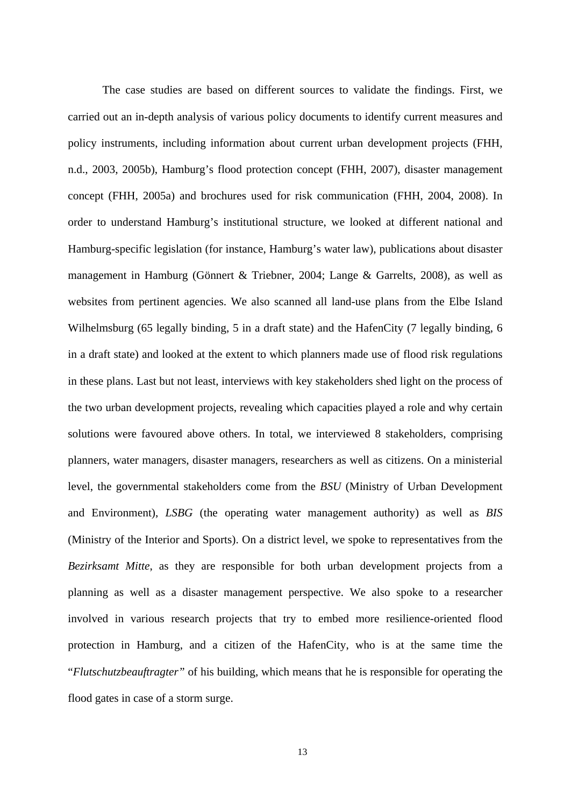The case studies are based on different sources to validate the findings. First, we carried out an in-depth analysis of various policy documents to identify current measures and policy instruments, including information about current urban development projects (FHH, n.d., 2003, 2005b), Hamburg's flood protection concept (FHH, 2007), disaster management concept (FHH, 2005a) and brochures used for risk communication (FHH, 2004, 2008). In order to understand Hamburg's institutional structure, we looked at different national and Hamburg-specific legislation (for instance, Hamburg's water law), publications about disaster management in Hamburg (Gönnert & Triebner, 2004; Lange & Garrelts, 2008), as well as websites from pertinent agencies. We also scanned all land-use plans from the Elbe Island Wilhelmsburg (65 legally binding, 5 in a draft state) and the HafenCity (7 legally binding, 6 in a draft state) and looked at the extent to which planners made use of flood risk regulations in these plans. Last but not least, interviews with key stakeholders shed light on the process of the two urban development projects, revealing which capacities played a role and why certain solutions were favoured above others. In total, we interviewed 8 stakeholders, comprising planners, water managers, disaster managers, researchers as well as citizens. On a ministerial level, the governmental stakeholders come from the *BSU* (Ministry of Urban Development and Environment), *LSBG* (the operating water management authority) as well as *BIS* (Ministry of the Interior and Sports). On a district level, we spoke to representatives from the *Bezirksamt Mitte*, as they are responsible for both urban development projects from a planning as well as a disaster management perspective. We also spoke to a researcher involved in various research projects that try to embed more resilience-oriented flood protection in Hamburg, and a citizen of the HafenCity, who is at the same time the "*Flutschutzbeauftragter"* of his building, which means that he is responsible for operating the flood gates in case of a storm surge.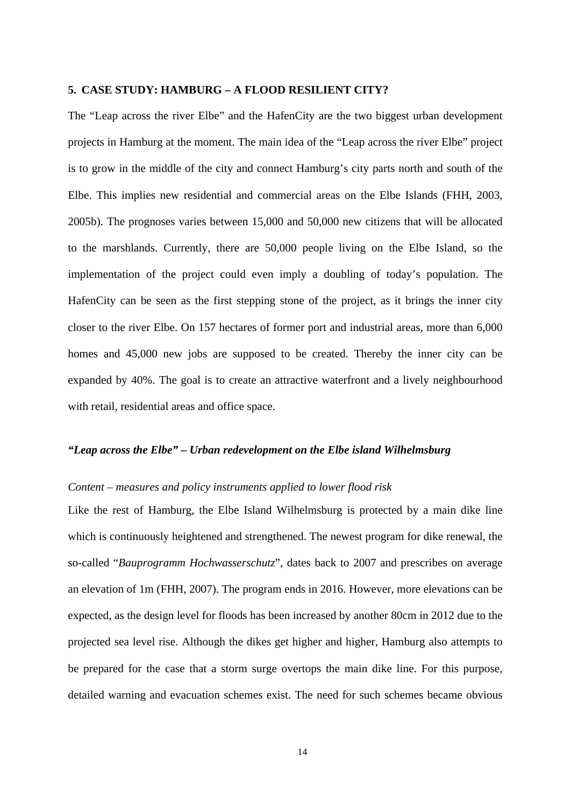#### **5. CASE STUDY: HAMBURG – A FLOOD RESILIENT CITY?**

The "Leap across the river Elbe" and the HafenCity are the two biggest urban development projects in Hamburg at the moment. The main idea of the "Leap across the river Elbe" project is to grow in the middle of the city and connect Hamburg's city parts north and south of the Elbe. This implies new residential and commercial areas on the Elbe Islands (FHH, 2003, 2005b). The prognoses varies between 15,000 and 50,000 new citizens that will be allocated to the marshlands. Currently, there are 50,000 people living on the Elbe Island, so the implementation of the project could even imply a doubling of today's population. The HafenCity can be seen as the first stepping stone of the project, as it brings the inner city closer to the river Elbe. On 157 hectares of former port and industrial areas, more than 6,000 homes and 45,000 new jobs are supposed to be created. Thereby the inner city can be expanded by 40%. The goal is to create an attractive waterfront and a lively neighbourhood with retail, residential areas and office space.

#### *"Leap across the Elbe" – Urban redevelopment on the Elbe island Wilhelmsburg*

# *Content – measures and policy instruments applied to lower flood risk*

Like the rest of Hamburg, the Elbe Island Wilhelmsburg is protected by a main dike line which is continuously heightened and strengthened. The newest program for dike renewal, the so-called "*Bauprogramm Hochwasserschutz*", dates back to 2007 and prescribes on average an elevation of 1m (FHH, 2007). The program ends in 2016. However, more elevations can be expected, as the design level for floods has been increased by another 80cm in 2012 due to the projected sea level rise. Although the dikes get higher and higher, Hamburg also attempts to be prepared for the case that a storm surge overtops the main dike line. For this purpose, detailed warning and evacuation schemes exist. The need for such schemes became obvious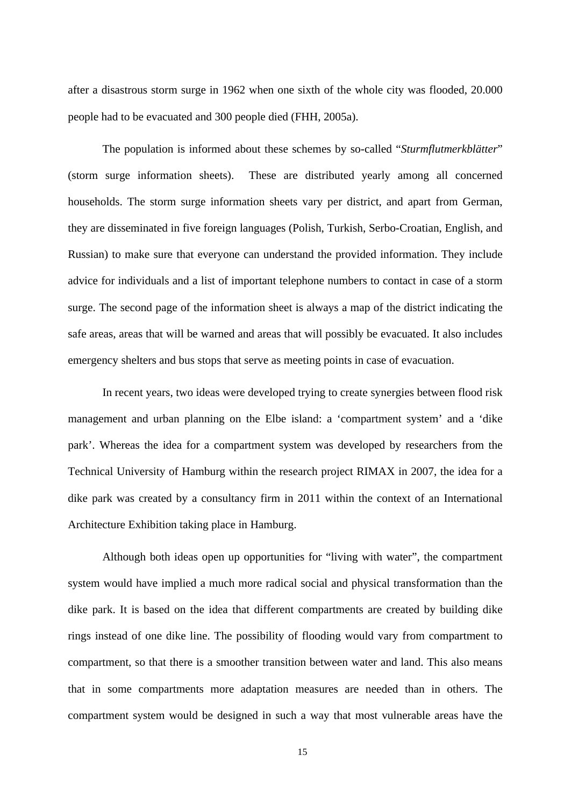after a disastrous storm surge in 1962 when one sixth of the whole city was flooded, 20.000 people had to be evacuated and 300 people died (FHH, 2005a).

The population is informed about these schemes by so-called "*Sturmflutmerkblätter*" (storm surge information sheets). These are distributed yearly among all concerned households. The storm surge information sheets vary per district, and apart from German, they are disseminated in five foreign languages (Polish, Turkish, Serbo-Croatian, English, and Russian) to make sure that everyone can understand the provided information. They include advice for individuals and a list of important telephone numbers to contact in case of a storm surge. The second page of the information sheet is always a map of the district indicating the safe areas, areas that will be warned and areas that will possibly be evacuated. It also includes emergency shelters and bus stops that serve as meeting points in case of evacuation.

In recent years, two ideas were developed trying to create synergies between flood risk management and urban planning on the Elbe island: a 'compartment system' and a 'dike park'. Whereas the idea for a compartment system was developed by researchers from the Technical University of Hamburg within the research project RIMAX in 2007, the idea for a dike park was created by a consultancy firm in 2011 within the context of an International Architecture Exhibition taking place in Hamburg.

Although both ideas open up opportunities for "living with water", the compartment system would have implied a much more radical social and physical transformation than the dike park. It is based on the idea that different compartments are created by building dike rings instead of one dike line. The possibility of flooding would vary from compartment to compartment, so that there is a smoother transition between water and land. This also means that in some compartments more adaptation measures are needed than in others. The compartment system would be designed in such a way that most vulnerable areas have the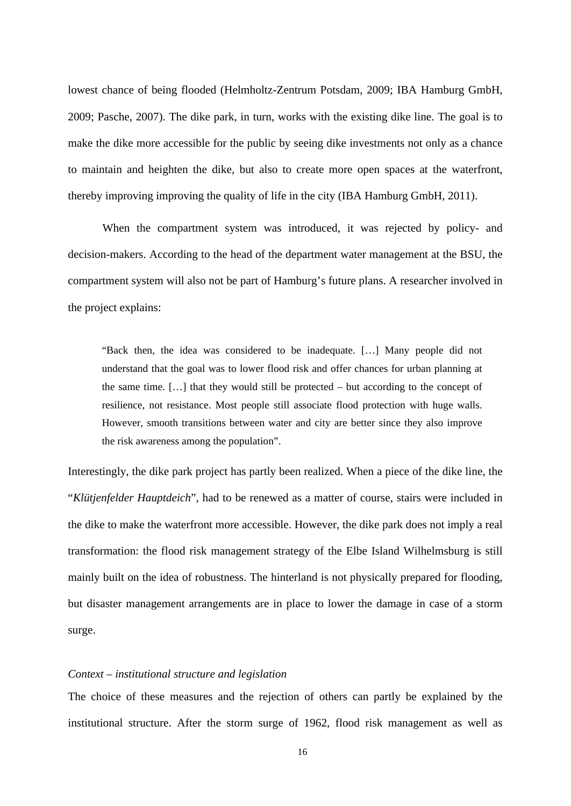lowest chance of being flooded (Helmholtz-Zentrum Potsdam, 2009; IBA Hamburg GmbH, 2009; Pasche, 2007). The dike park, in turn, works with the existing dike line. The goal is to make the dike more accessible for the public by seeing dike investments not only as a chance to maintain and heighten the dike, but also to create more open spaces at the waterfront, thereby improving improving the quality of life in the city (IBA Hamburg GmbH, 2011).

When the compartment system was introduced, it was rejected by policy- and decision-makers. According to the head of the department water management at the BSU, the compartment system will also not be part of Hamburg's future plans. A researcher involved in the project explains:

"Back then, the idea was considered to be inadequate. […] Many people did not understand that the goal was to lower flood risk and offer chances for urban planning at the same time. […] that they would still be protected – but according to the concept of resilience, not resistance. Most people still associate flood protection with huge walls. However, smooth transitions between water and city are better since they also improve the risk awareness among the population".

Interestingly, the dike park project has partly been realized. When a piece of the dike line, the "*Klütjenfelder Hauptdeich*", had to be renewed as a matter of course, stairs were included in the dike to make the waterfront more accessible. However, the dike park does not imply a real transformation: the flood risk management strategy of the Elbe Island Wilhelmsburg is still mainly built on the idea of robustness. The hinterland is not physically prepared for flooding, but disaster management arrangements are in place to lower the damage in case of a storm surge.

# *Context – institutional structure and legislation*

The choice of these measures and the rejection of others can partly be explained by the institutional structure. After the storm surge of 1962, flood risk management as well as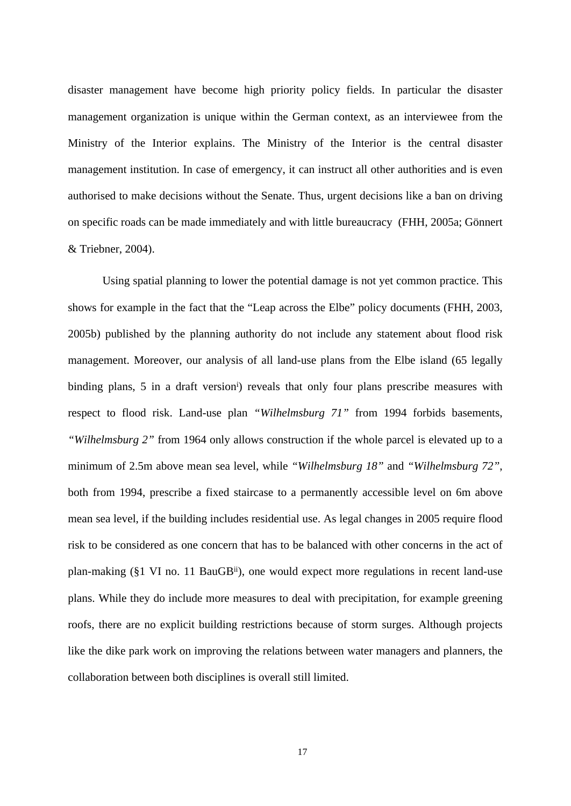disaster management have become high priority policy fields. In particular the disaster management organization is unique within the German context, as an interviewee from the Ministry of the Interior explains. The Ministry of the Interior is the central disaster management institution. In case of emergency, it can instruct all other authorities and is even authorised to make decisions without the Senate. Thus, urgent decisions like a ban on driving on specific roads can be made immediately and with little bureaucracy (FHH, 2005a; Gönnert & Triebner, 2004).

Using spatial planning to lower the potential damage is not yet common practice. This shows for example in the fact that the "Leap across the Elbe" policy documents (FHH, 2003, 2005b) published by the planning authority do not include any statement about flood risk management. Moreover, our analysis of all land-use plans from the Elbe island (65 legally binding plans, 5 in a draft version<sup>i</sup>) reveals that only four plans prescribe measures with respect to flood risk. Land-use plan *"Wilhelmsburg 71"* from 1994 forbids basements, *"Wilhelmsburg 2"* from 1964 only allows construction if the whole parcel is elevated up to a minimum of 2.5m above mean sea level, while *"Wilhelmsburg 18"* and *"Wilhelmsburg 72"*, both from 1994, prescribe a fixed staircase to a permanently accessible level on 6m above mean sea level, if the building includes residential use. As legal changes in 2005 require flood risk to be considered as one concern that has to be balanced with other concerns in the act of plan-making (§1 VI no. 11 BauGBii), one would expect more regulations in recent land-use plans. While they do include more measures to deal with precipitation, for example greening roofs, there are no explicit building restrictions because of storm surges. Although projects like the dike park work on improving the relations between water managers and planners, the collaboration between both disciplines is overall still limited.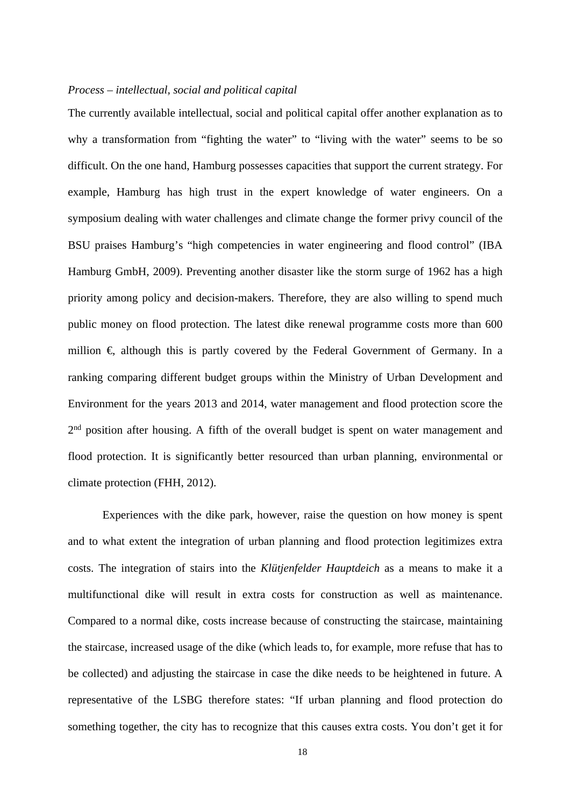# *Process – intellectual, social and political capital*

The currently available intellectual, social and political capital offer another explanation as to why a transformation from "fighting the water" to "living with the water" seems to be so difficult. On the one hand, Hamburg possesses capacities that support the current strategy. For example, Hamburg has high trust in the expert knowledge of water engineers. On a symposium dealing with water challenges and climate change the former privy council of the BSU praises Hamburg's "high competencies in water engineering and flood control" (IBA Hamburg GmbH, 2009). Preventing another disaster like the storm surge of 1962 has a high priority among policy and decision-makers. Therefore, they are also willing to spend much public money on flood protection. The latest dike renewal programme costs more than 600 million  $\epsilon$ , although this is partly covered by the Federal Government of Germany. In a ranking comparing different budget groups within the Ministry of Urban Development and Environment for the years 2013 and 2014, water management and flood protection score the 2<sup>nd</sup> position after housing. A fifth of the overall budget is spent on water management and flood protection. It is significantly better resourced than urban planning, environmental or climate protection (FHH, 2012).

Experiences with the dike park, however, raise the question on how money is spent and to what extent the integration of urban planning and flood protection legitimizes extra costs. The integration of stairs into the *Klütjenfelder Hauptdeich* as a means to make it a multifunctional dike will result in extra costs for construction as well as maintenance. Compared to a normal dike, costs increase because of constructing the staircase, maintaining the staircase, increased usage of the dike (which leads to, for example, more refuse that has to be collected) and adjusting the staircase in case the dike needs to be heightened in future. A representative of the LSBG therefore states: "If urban planning and flood protection do something together, the city has to recognize that this causes extra costs. You don't get it for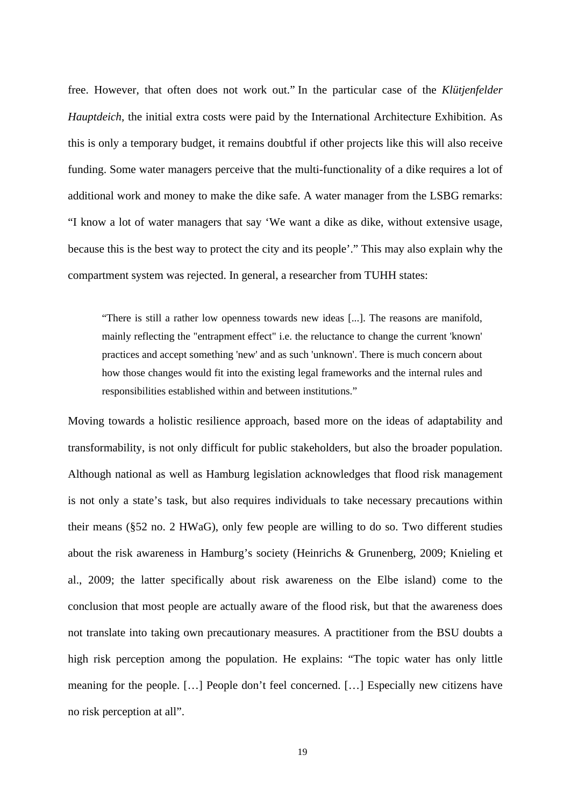free. However, that often does not work out." In the particular case of the *Klütjenfelder Hauptdeich*, the initial extra costs were paid by the International Architecture Exhibition. As this is only a temporary budget, it remains doubtful if other projects like this will also receive funding. Some water managers perceive that the multi-functionality of a dike requires a lot of additional work and money to make the dike safe. A water manager from the LSBG remarks: "I know a lot of water managers that say 'We want a dike as dike, without extensive usage, because this is the best way to protect the city and its people'." This may also explain why the compartment system was rejected. In general, a researcher from TUHH states:

"There is still a rather low openness towards new ideas [...]. The reasons are manifold, mainly reflecting the "entrapment effect" i.e. the reluctance to change the current 'known' practices and accept something 'new' and as such 'unknown'. There is much concern about how those changes would fit into the existing legal frameworks and the internal rules and responsibilities established within and between institutions."

Moving towards a holistic resilience approach, based more on the ideas of adaptability and transformability, is not only difficult for public stakeholders, but also the broader population. Although national as well as Hamburg legislation acknowledges that flood risk management is not only a state's task, but also requires individuals to take necessary precautions within their means (§52 no. 2 HWaG), only few people are willing to do so. Two different studies about the risk awareness in Hamburg's society (Heinrichs & Grunenberg, 2009; Knieling et al., 2009; the latter specifically about risk awareness on the Elbe island) come to the conclusion that most people are actually aware of the flood risk, but that the awareness does not translate into taking own precautionary measures. A practitioner from the BSU doubts a high risk perception among the population. He explains: "The topic water has only little meaning for the people. […] People don't feel concerned. […] Especially new citizens have no risk perception at all".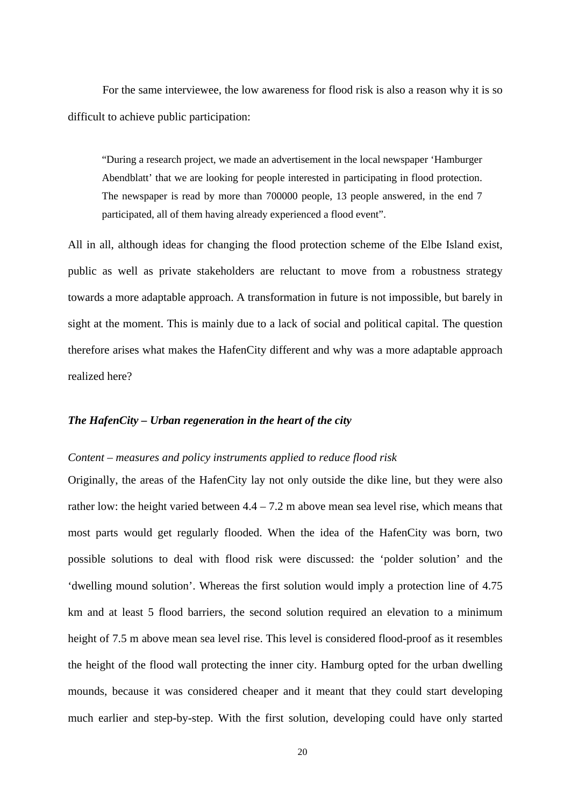For the same interviewee, the low awareness for flood risk is also a reason why it is so difficult to achieve public participation:

"During a research project, we made an advertisement in the local newspaper 'Hamburger Abendblatt' that we are looking for people interested in participating in flood protection. The newspaper is read by more than 700000 people, 13 people answered, in the end 7 participated, all of them having already experienced a flood event".

All in all, although ideas for changing the flood protection scheme of the Elbe Island exist, public as well as private stakeholders are reluctant to move from a robustness strategy towards a more adaptable approach. A transformation in future is not impossible, but barely in sight at the moment. This is mainly due to a lack of social and political capital. The question therefore arises what makes the HafenCity different and why was a more adaptable approach realized here?

#### *The HafenCity – Urban regeneration in the heart of the city*

## *Content – measures and policy instruments applied to reduce flood risk*

Originally, the areas of the HafenCity lay not only outside the dike line, but they were also rather low: the height varied between  $4.4 - 7.2$  m above mean sea level rise, which means that most parts would get regularly flooded. When the idea of the HafenCity was born, two possible solutions to deal with flood risk were discussed: the 'polder solution' and the 'dwelling mound solution'. Whereas the first solution would imply a protection line of 4.75 km and at least 5 flood barriers, the second solution required an elevation to a minimum height of 7.5 m above mean sea level rise. This level is considered flood-proof as it resembles the height of the flood wall protecting the inner city. Hamburg opted for the urban dwelling mounds, because it was considered cheaper and it meant that they could start developing much earlier and step-by-step. With the first solution, developing could have only started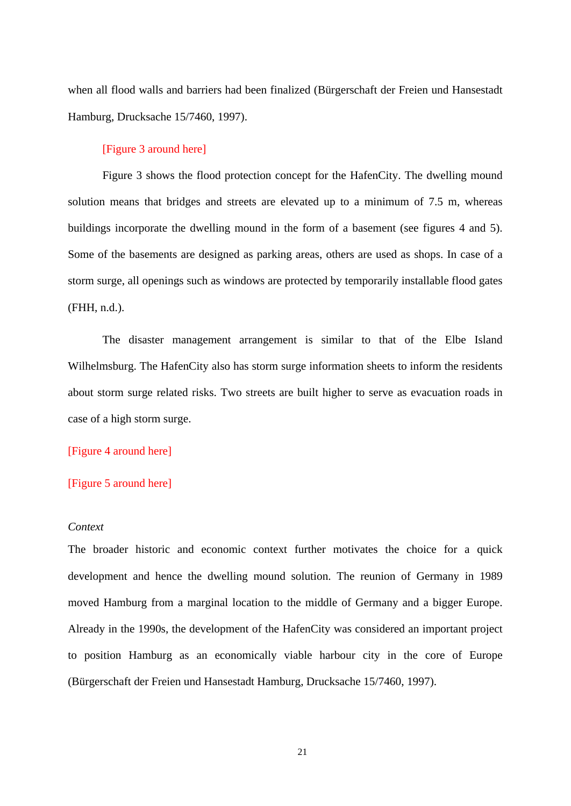when all flood walls and barriers had been finalized (Bürgerschaft der Freien und Hansestadt Hamburg, Drucksache 15/7460, 1997).

### [Figure 3 around here]

Figure 3 shows the flood protection concept for the HafenCity. The dwelling mound solution means that bridges and streets are elevated up to a minimum of 7.5 m, whereas buildings incorporate the dwelling mound in the form of a basement (see figures 4 and 5). Some of the basements are designed as parking areas, others are used as shops. In case of a storm surge, all openings such as windows are protected by temporarily installable flood gates (FHH, n.d.).

The disaster management arrangement is similar to that of the Elbe Island Wilhelmsburg. The HafenCity also has storm surge information sheets to inform the residents about storm surge related risks. Two streets are built higher to serve as evacuation roads in case of a high storm surge.

#### [Figure 4 around here]

#### [Figure 5 around here]

#### *Context*

The broader historic and economic context further motivates the choice for a quick development and hence the dwelling mound solution. The reunion of Germany in 1989 moved Hamburg from a marginal location to the middle of Germany and a bigger Europe. Already in the 1990s, the development of the HafenCity was considered an important project to position Hamburg as an economically viable harbour city in the core of Europe (Bürgerschaft der Freien und Hansestadt Hamburg, Drucksache 15/7460, 1997).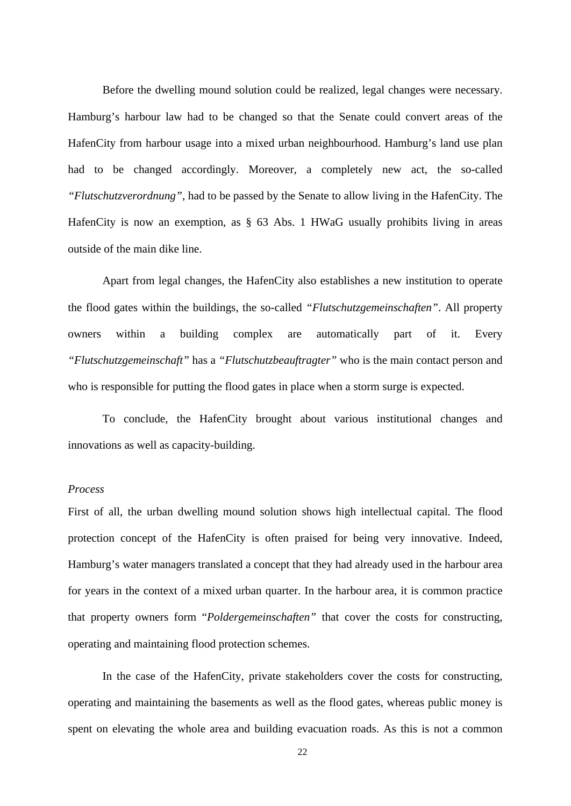Before the dwelling mound solution could be realized, legal changes were necessary. Hamburg's harbour law had to be changed so that the Senate could convert areas of the HafenCity from harbour usage into a mixed urban neighbourhood. Hamburg's land use plan had to be changed accordingly. Moreover, a completely new act, the so-called *"Flutschutzverordnung"*, had to be passed by the Senate to allow living in the HafenCity. The HafenCity is now an exemption, as § 63 Abs. 1 HWaG usually prohibits living in areas outside of the main dike line.

Apart from legal changes, the HafenCity also establishes a new institution to operate the flood gates within the buildings, the so-called *"Flutschutzgemeinschaften"*. All property owners within a building complex are automatically part of it. Every *"Flutschutzgemeinschaft"* has a *"Flutschutzbeauftragter"* who is the main contact person and who is responsible for putting the flood gates in place when a storm surge is expected.

To conclude, the HafenCity brought about various institutional changes and innovations as well as capacity-building.

# *Process*

First of all, the urban dwelling mound solution shows high intellectual capital. The flood protection concept of the HafenCity is often praised for being very innovative. Indeed, Hamburg's water managers translated a concept that they had already used in the harbour area for years in the context of a mixed urban quarter. In the harbour area, it is common practice that property owners form "*Poldergemeinschaften"* that cover the costs for constructing, operating and maintaining flood protection schemes.

In the case of the HafenCity, private stakeholders cover the costs for constructing, operating and maintaining the basements as well as the flood gates, whereas public money is spent on elevating the whole area and building evacuation roads. As this is not a common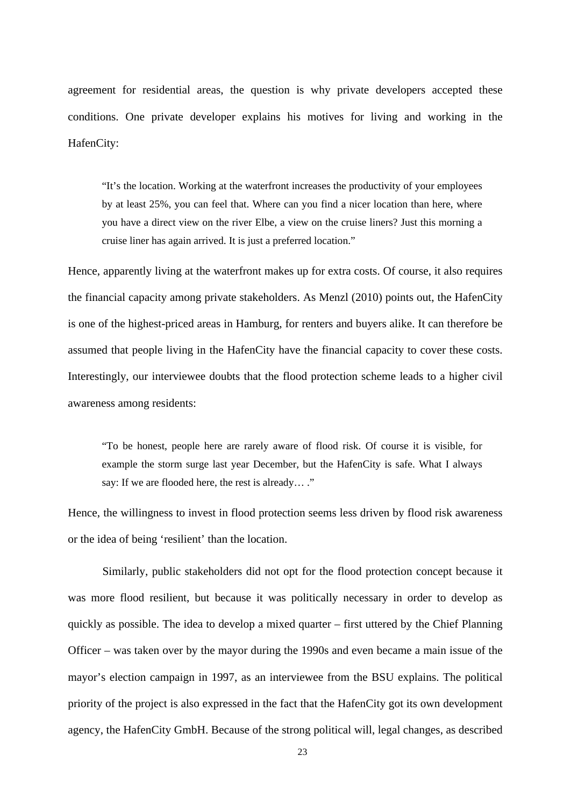agreement for residential areas, the question is why private developers accepted these conditions. One private developer explains his motives for living and working in the HafenCity:

"It's the location. Working at the waterfront increases the productivity of your employees by at least 25%, you can feel that. Where can you find a nicer location than here, where you have a direct view on the river Elbe, a view on the cruise liners? Just this morning a cruise liner has again arrived. It is just a preferred location."

Hence, apparently living at the waterfront makes up for extra costs. Of course, it also requires the financial capacity among private stakeholders. As Menzl (2010) points out, the HafenCity is one of the highest-priced areas in Hamburg, for renters and buyers alike. It can therefore be assumed that people living in the HafenCity have the financial capacity to cover these costs. Interestingly, our interviewee doubts that the flood protection scheme leads to a higher civil awareness among residents:

"To be honest, people here are rarely aware of flood risk. Of course it is visible, for example the storm surge last year December, but the HafenCity is safe. What I always say: If we are flooded here, the rest is already… ."

Hence, the willingness to invest in flood protection seems less driven by flood risk awareness or the idea of being 'resilient' than the location.

Similarly, public stakeholders did not opt for the flood protection concept because it was more flood resilient, but because it was politically necessary in order to develop as quickly as possible. The idea to develop a mixed quarter – first uttered by the Chief Planning Officer – was taken over by the mayor during the 1990s and even became a main issue of the mayor's election campaign in 1997, as an interviewee from the BSU explains. The political priority of the project is also expressed in the fact that the HafenCity got its own development agency, the HafenCity GmbH. Because of the strong political will, legal changes, as described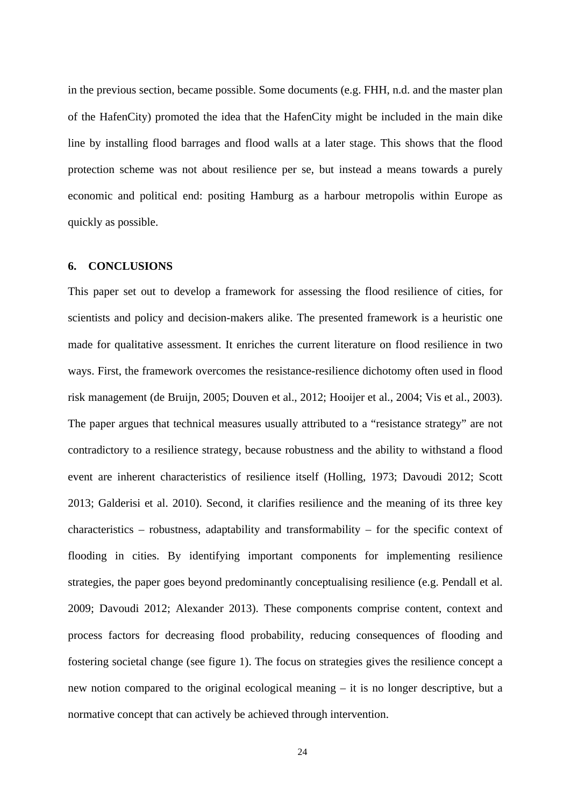in the previous section, became possible. Some documents (e.g. FHH, n.d. and the master plan of the HafenCity) promoted the idea that the HafenCity might be included in the main dike line by installing flood barrages and flood walls at a later stage. This shows that the flood protection scheme was not about resilience per se, but instead a means towards a purely economic and political end: positing Hamburg as a harbour metropolis within Europe as quickly as possible.

#### **6. CONCLUSIONS**

This paper set out to develop a framework for assessing the flood resilience of cities, for scientists and policy and decision-makers alike. The presented framework is a heuristic one made for qualitative assessment. It enriches the current literature on flood resilience in two ways. First, the framework overcomes the resistance-resilience dichotomy often used in flood risk management (de Bruijn, 2005; Douven et al., 2012; Hooijer et al., 2004; Vis et al., 2003). The paper argues that technical measures usually attributed to a "resistance strategy" are not contradictory to a resilience strategy, because robustness and the ability to withstand a flood event are inherent characteristics of resilience itself (Holling, 1973; Davoudi 2012; Scott 2013; Galderisi et al. 2010). Second, it clarifies resilience and the meaning of its three key characteristics – robustness, adaptability and transformability – for the specific context of flooding in cities. By identifying important components for implementing resilience strategies, the paper goes beyond predominantly conceptualising resilience (e.g. Pendall et al. 2009; Davoudi 2012; Alexander 2013). These components comprise content, context and process factors for decreasing flood probability, reducing consequences of flooding and fostering societal change (see figure 1). The focus on strategies gives the resilience concept a new notion compared to the original ecological meaning – it is no longer descriptive, but a normative concept that can actively be achieved through intervention.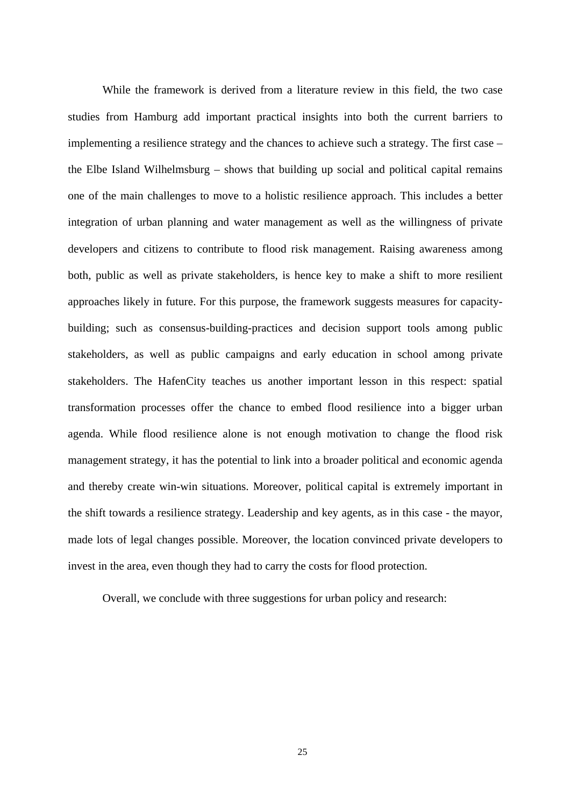While the framework is derived from a literature review in this field, the two case studies from Hamburg add important practical insights into both the current barriers to implementing a resilience strategy and the chances to achieve such a strategy. The first case – the Elbe Island Wilhelmsburg – shows that building up social and political capital remains one of the main challenges to move to a holistic resilience approach. This includes a better integration of urban planning and water management as well as the willingness of private developers and citizens to contribute to flood risk management. Raising awareness among both, public as well as private stakeholders, is hence key to make a shift to more resilient approaches likely in future. For this purpose, the framework suggests measures for capacitybuilding; such as consensus-building-practices and decision support tools among public stakeholders, as well as public campaigns and early education in school among private stakeholders. The HafenCity teaches us another important lesson in this respect: spatial transformation processes offer the chance to embed flood resilience into a bigger urban agenda. While flood resilience alone is not enough motivation to change the flood risk management strategy, it has the potential to link into a broader political and economic agenda and thereby create win-win situations. Moreover, political capital is extremely important in the shift towards a resilience strategy. Leadership and key agents, as in this case - the mayor, made lots of legal changes possible. Moreover, the location convinced private developers to invest in the area, even though they had to carry the costs for flood protection.

Overall, we conclude with three suggestions for urban policy and research: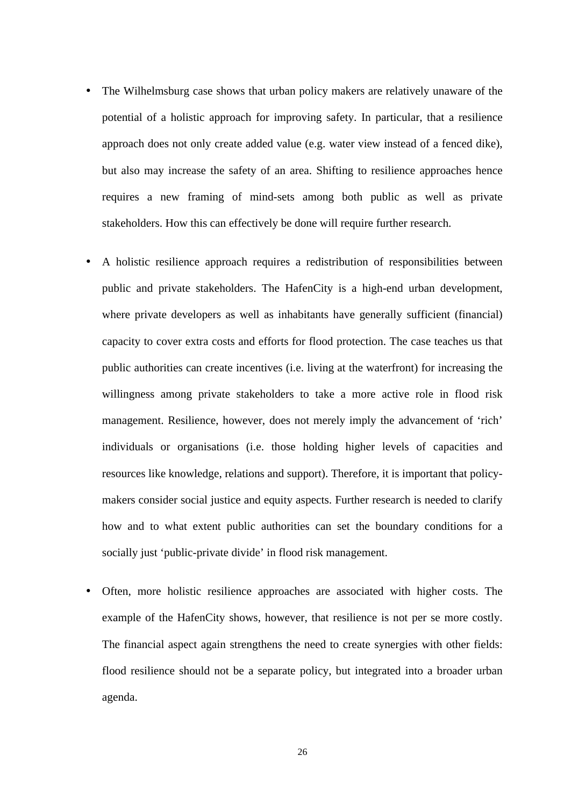- The Wilhelmsburg case shows that urban policy makers are relatively unaware of the potential of a holistic approach for improving safety. In particular, that a resilience approach does not only create added value (e.g. water view instead of a fenced dike), but also may increase the safety of an area. Shifting to resilience approaches hence requires a new framing of mind-sets among both public as well as private stakeholders. How this can effectively be done will require further research.
- A holistic resilience approach requires a redistribution of responsibilities between public and private stakeholders. The HafenCity is a high-end urban development, where private developers as well as inhabitants have generally sufficient (financial) capacity to cover extra costs and efforts for flood protection. The case teaches us that public authorities can create incentives (i.e. living at the waterfront) for increasing the willingness among private stakeholders to take a more active role in flood risk management. Resilience, however, does not merely imply the advancement of 'rich' individuals or organisations (i.e. those holding higher levels of capacities and resources like knowledge, relations and support). Therefore, it is important that policymakers consider social justice and equity aspects. Further research is needed to clarify how and to what extent public authorities can set the boundary conditions for a socially just 'public-private divide' in flood risk management.
- Often, more holistic resilience approaches are associated with higher costs. The example of the HafenCity shows, however, that resilience is not per se more costly. The financial aspect again strengthens the need to create synergies with other fields: flood resilience should not be a separate policy, but integrated into a broader urban agenda.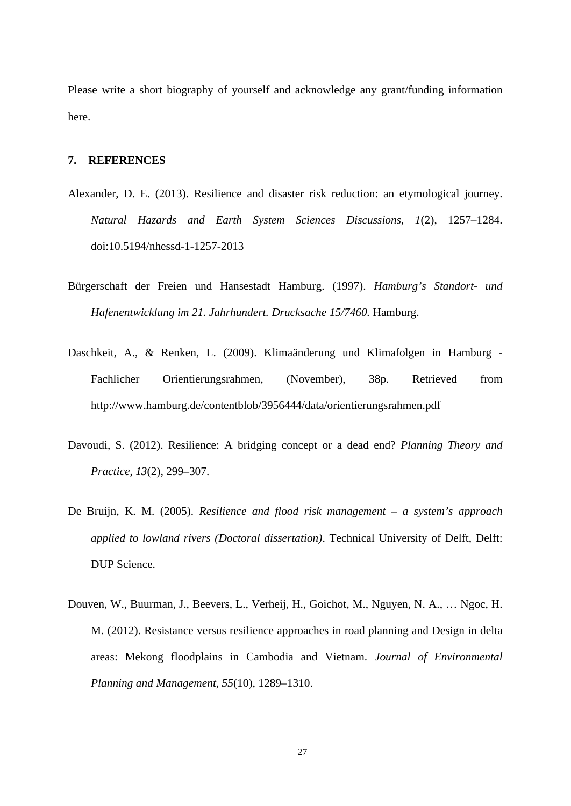Please write a short biography of yourself and acknowledge any grant/funding information here.

#### **7. REFERENCES**

- Alexander, D. E. (2013). Resilience and disaster risk reduction: an etymological journey. *Natural Hazards and Earth System Sciences Discussions*, *1*(2), 1257–1284. doi:10.5194/nhessd-1-1257-2013
- Bürgerschaft der Freien und Hansestadt Hamburg. (1997). *Hamburg's Standort- und Hafenentwicklung im 21. Jahrhundert. Drucksache 15/7460.* Hamburg.
- Daschkeit, A., & Renken, L. (2009). Klimaänderung und Klimafolgen in Hamburg Fachlicher Orientierungsrahmen, (November), 38p. Retrieved from http://www.hamburg.de/contentblob/3956444/data/orientierungsrahmen.pdf
- Davoudi, S. (2012). Resilience: A bridging concept or a dead end? *Planning Theory and Practice*, *13*(2), 299–307.
- De Bruijn, K. M. (2005). *Resilience and flood risk management – a system's approach applied to lowland rivers (Doctoral dissertation)*. Technical University of Delft, Delft: DUP Science.
- Douven, W., Buurman, J., Beevers, L., Verheij, H., Goichot, M., Nguyen, N. A., … Ngoc, H. M. (2012). Resistance versus resilience approaches in road planning and Design in delta areas: Mekong floodplains in Cambodia and Vietnam. *Journal of Environmental Planning and Management*, *55*(10), 1289–1310.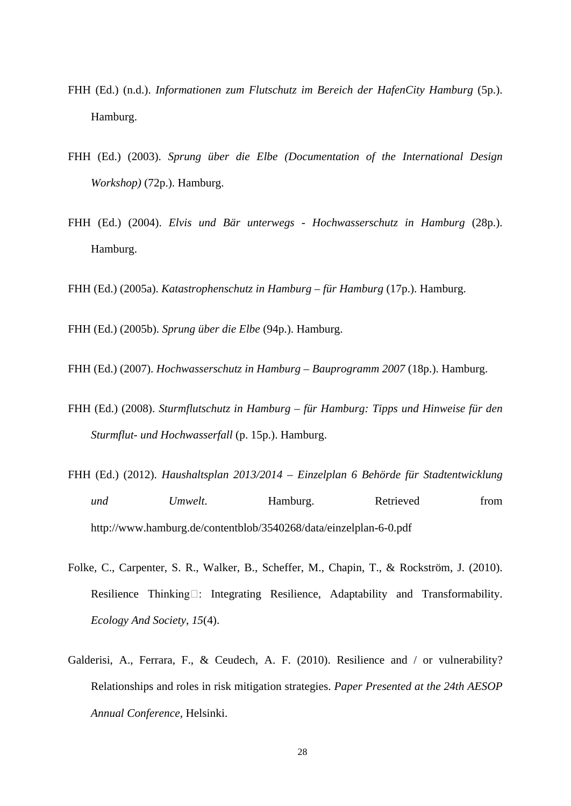- FHH (Ed.) (n.d.). *Informationen zum Flutschutz im Bereich der HafenCity Hamburg* (5p.). Hamburg.
- FHH (Ed.) (2003). *Sprung über die Elbe (Documentation of the International Design Workshop)* (72p.). Hamburg.
- FHH (Ed.) (2004). *Elvis und Bär unterwegs - Hochwasserschutz in Hamburg* (28p.). Hamburg.

FHH (Ed.) (2005a). *Katastrophenschutz in Hamburg – für Hamburg* (17p.). Hamburg.

FHH (Ed.) (2005b). *Sprung über die Elbe* (94p.). Hamburg.

FHH (Ed.) (2007). *Hochwasserschutz in Hamburg – Bauprogramm 2007* (18p.). Hamburg.

- FHH (Ed.) (2008). *Sturmflutschutz in Hamburg – für Hamburg: Tipps und Hinweise für den Sturmflut- und Hochwasserfall* (p. 15p.). Hamburg.
- FHH (Ed.) (2012). *Haushaltsplan 2013/2014 – Einzelplan 6 Behörde für Stadtentwicklung und Umwelt*. Hamburg. Retrieved from http://www.hamburg.de/contentblob/3540268/data/einzelplan-6-0.pdf
- Folke, C., Carpenter, S. R., Walker, B., Scheffer, M., Chapin, T., & Rockström, J. (2010). Resilience Thinking : Integrating Resilience, Adaptability and Transformability. *Ecology And Society*, *15*(4).
- Galderisi, A., Ferrara, F., & Ceudech, A. F. (2010). Resilience and / or vulnerability? Relationships and roles in risk mitigation strategies. *Paper Presented at the 24th AESOP Annual Conference,* Helsinki.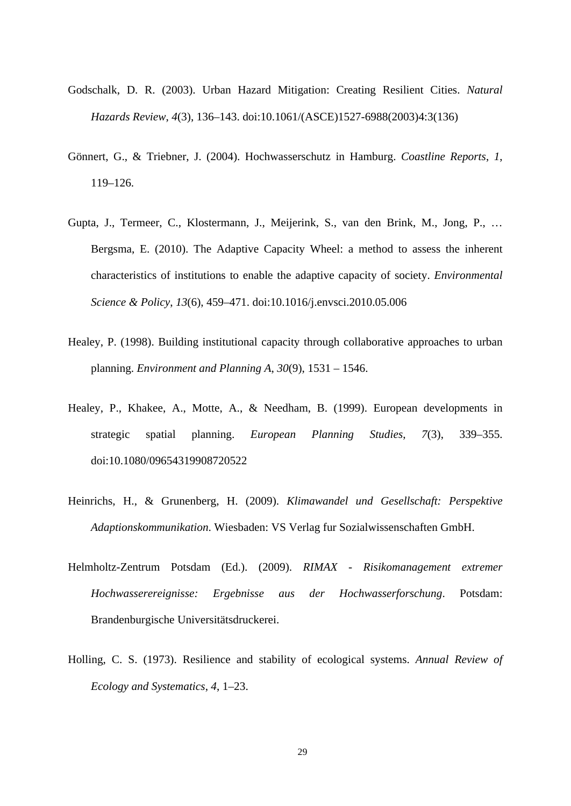- Godschalk, D. R. (2003). Urban Hazard Mitigation: Creating Resilient Cities. *Natural Hazards Review*, *4*(3), 136–143. doi:10.1061/(ASCE)1527-6988(2003)4:3(136)
- Gönnert, G., & Triebner, J. (2004). Hochwasserschutz in Hamburg. *Coastline Reports*, *1*, 119–126.
- Gupta, J., Termeer, C., Klostermann, J., Meijerink, S., van den Brink, M., Jong, P., … Bergsma, E. (2010). The Adaptive Capacity Wheel: a method to assess the inherent characteristics of institutions to enable the adaptive capacity of society. *Environmental Science & Policy*, *13*(6), 459–471. doi:10.1016/j.envsci.2010.05.006
- Healey, P. (1998). Building institutional capacity through collaborative approaches to urban planning. *Environment and Planning A*, *30*(9), 1531 – 1546.
- Healey, P., Khakee, A., Motte, A., & Needham, B. (1999). European developments in strategic spatial planning. *European Planning Studies*, *7*(3), 339–355. doi:10.1080/09654319908720522
- Heinrichs, H., & Grunenberg, H. (2009). *Klimawandel und Gesellschaft: Perspektive Adaptionskommunikation*. Wiesbaden: VS Verlag fur Sozialwissenschaften GmbH.
- Helmholtz-Zentrum Potsdam (Ed.). (2009). *RIMAX - Risikomanagement extremer Hochwasserereignisse: Ergebnisse aus der Hochwasserforschung*. Potsdam: Brandenburgische Universitätsdruckerei.
- Holling, C. S. (1973). Resilience and stability of ecological systems. *Annual Review of Ecology and Systematics*, *4*, 1–23.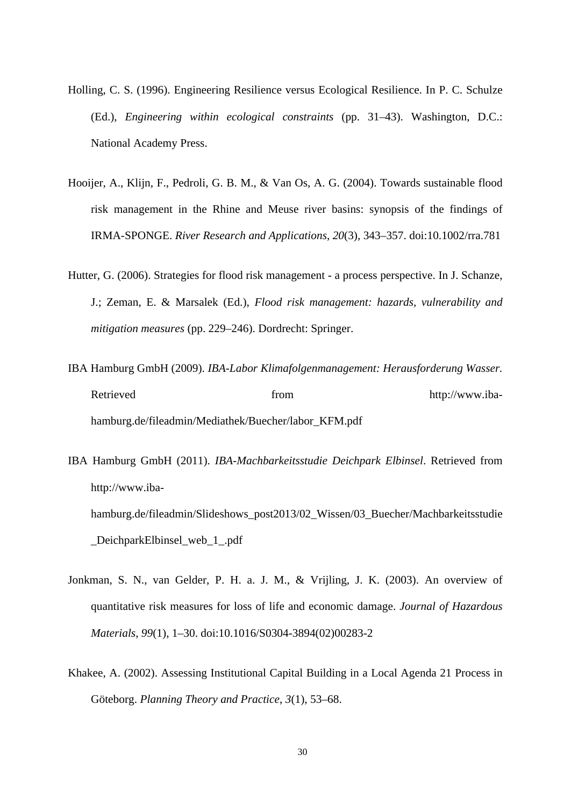- Holling, C. S. (1996). Engineering Resilience versus Ecological Resilience. In P. C. Schulze (Ed.), *Engineering within ecological constraints* (pp. 31–43). Washington, D.C.: National Academy Press.
- Hooijer, A., Klijn, F., Pedroli, G. B. M., & Van Os, A. G. (2004). Towards sustainable flood risk management in the Rhine and Meuse river basins: synopsis of the findings of IRMA-SPONGE. *River Research and Applications*, *20*(3), 343–357. doi:10.1002/rra.781
- Hutter, G. (2006). Strategies for flood risk management a process perspective. In J. Schanze, J.; Zeman, E. & Marsalek (Ed.), *Flood risk management: hazards, vulnerability and mitigation measures* (pp. 229–246). Dordrecht: Springer.
- IBA Hamburg GmbH (2009). *IBA-Labor Klimafolgenmanagement: Herausforderung Wasser.* Retrieved from http://www.ibahamburg.de/fileadmin/Mediathek/Buecher/labor\_KFM.pdf
- IBA Hamburg GmbH (2011). *IBA-Machbarkeitsstudie Deichpark Elbinsel*. Retrieved from http://www.ibahamburg.de/fileadmin/Slideshows\_post2013/02\_Wissen/03\_Buecher/Machbarkeitsstudie DeichparkElbinsel web 1.pdf
- Jonkman, S. N., van Gelder, P. H. a. J. M., & Vrijling, J. K. (2003). An overview of quantitative risk measures for loss of life and economic damage. *Journal of Hazardous Materials*, *99*(1), 1–30. doi:10.1016/S0304-3894(02)00283-2
- Khakee, A. (2002). Assessing Institutional Capital Building in a Local Agenda 21 Process in Göteborg. *Planning Theory and Practice*, *3*(1), 53–68.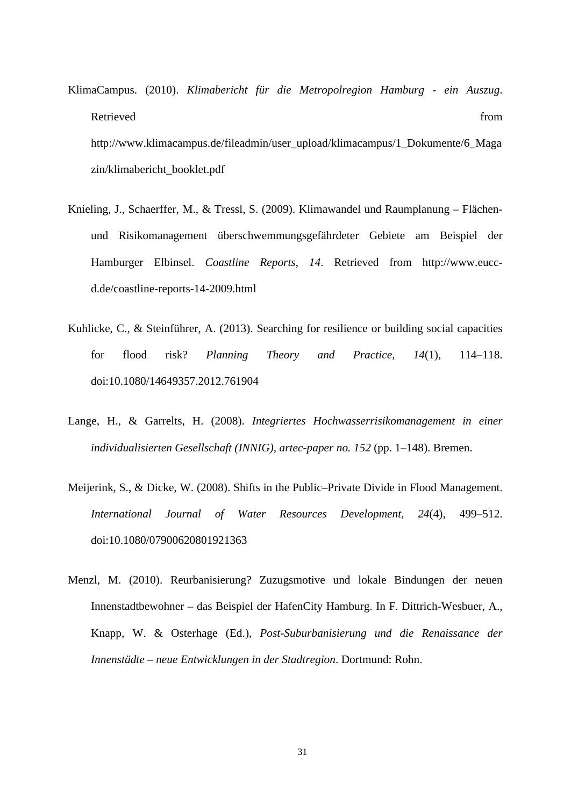- KlimaCampus. (2010). *Klimabericht für die Metropolregion Hamburg - ein Auszug*. Retrieved from the settlement of the settlement of the settlement of the settlement of the settlement of the set http://www.klimacampus.de/fileadmin/user\_upload/klimacampus/1\_Dokumente/6\_Maga zin/klimabericht\_booklet.pdf
- Knieling, J., Schaerffer, M., & Tressl, S. (2009). Klimawandel und Raumplanung Flächenund Risikomanagement überschwemmungsgefährdeter Gebiete am Beispiel der Hamburger Elbinsel. *Coastline Reports*, *14*. Retrieved from http://www.euccd.de/coastline-reports-14-2009.html
- Kuhlicke, C., & Steinführer, A. (2013). Searching for resilience or building social capacities for flood risk? *Planning Theory and Practice*, *14*(1), 114–118. doi:10.1080/14649357.2012.761904
- Lange, H., & Garrelts, H. (2008). *Integriertes Hochwasserrisikomanagement in einer individualisierten Gesellschaft (INNIG), artec-paper no. 152* (pp. 1–148). Bremen.
- Meijerink, S., & Dicke, W. (2008). Shifts in the Public–Private Divide in Flood Management. *International Journal of Water Resources Development*, *24*(4), 499–512. doi:10.1080/07900620801921363
- Menzl, M. (2010). Reurbanisierung? Zuzugsmotive und lokale Bindungen der neuen Innenstadtbewohner – das Beispiel der HafenCity Hamburg. In F. Dittrich-Wesbuer, A., Knapp, W. & Osterhage (Ed.), *Post-Suburbanisierung und die Renaissance der Innenstädte – neue Entwicklungen in der Stadtregion*. Dortmund: Rohn.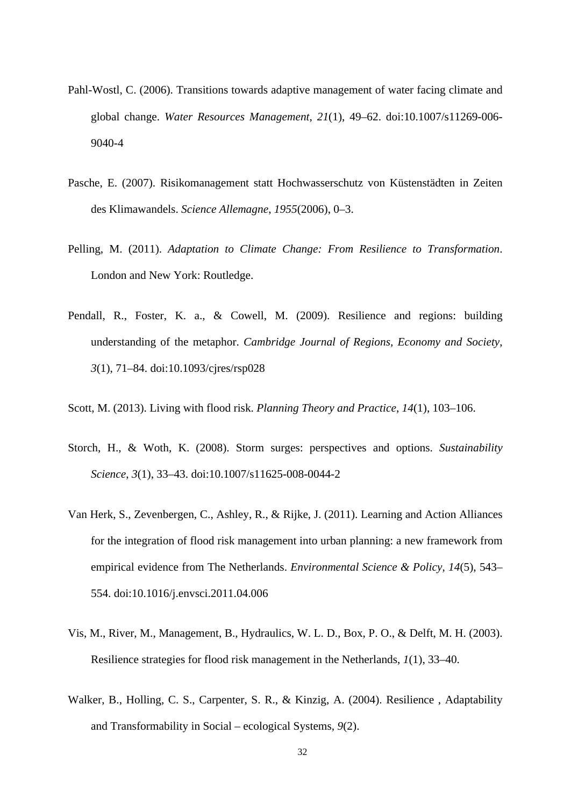- Pahl-Wostl, C. (2006). Transitions towards adaptive management of water facing climate and global change. *Water Resources Management*, *21*(1), 49–62. doi:10.1007/s11269-006- 9040-4
- Pasche, E. (2007). Risikomanagement statt Hochwasserschutz von Küstenstädten in Zeiten des Klimawandels. *Science Allemagne*, *1955*(2006), 0–3.
- Pelling, M. (2011). *Adaptation to Climate Change: From Resilience to Transformation*. London and New York: Routledge.
- Pendall, R., Foster, K. a., & Cowell, M. (2009). Resilience and regions: building understanding of the metaphor. *Cambridge Journal of Regions, Economy and Society*, *3*(1), 71–84. doi:10.1093/cjres/rsp028
- Scott, M. (2013). Living with flood risk. *Planning Theory and Practice*, *14*(1), 103–106.
- Storch, H., & Woth, K. (2008). Storm surges: perspectives and options. *Sustainability Science*, *3*(1), 33–43. doi:10.1007/s11625-008-0044-2
- Van Herk, S., Zevenbergen, C., Ashley, R., & Rijke, J. (2011). Learning and Action Alliances for the integration of flood risk management into urban planning: a new framework from empirical evidence from The Netherlands. *Environmental Science & Policy*, *14*(5), 543– 554. doi:10.1016/j.envsci.2011.04.006
- Vis, M., River, M., Management, B., Hydraulics, W. L. D., Box, P. O., & Delft, M. H. (2003). Resilience strategies for flood risk management in the Netherlands, *1*(1), 33–40.
- Walker, B., Holling, C. S., Carpenter, S. R., & Kinzig, A. (2004). Resilience , Adaptability and Transformability in Social – ecological Systems, *9*(2).